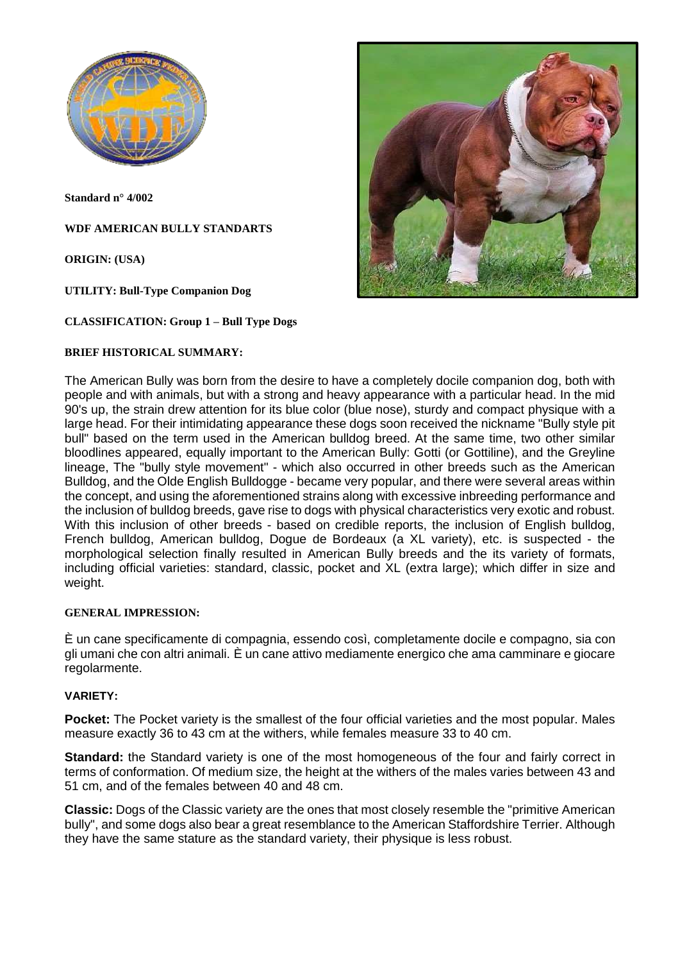

**Standard n° 4/002**

**WDF AMERICAN BULLY STANDARTS**

**ORIGIN: (USA)**

**UTILITY: Bull-Type Companion Dog**

**CLASSIFICATION: Group 1 – Bull Type Dogs**

#### **BRIEF HISTORICAL SUMMARY:**



The American Bully was born from the desire to have a completely docile companion dog, both with people and with animals, but with a strong and heavy appearance with a particular head. In the mid 90's up, the strain drew attention for its blue color (blue nose), sturdy and compact physique with a large head. For their intimidating appearance these dogs soon received the nickname "Bully style pit bull" based on the term used in the American bulldog breed. At the same time, two other similar bloodlines appeared, equally important to the American Bully: Gotti (or Gottiline), and the Greyline lineage, The "bully style movement" - which also occurred in other breeds such as the American Bulldog, and the Olde English Bulldogge - became very popular, and there were several areas within the concept, and using the aforementioned strains along with excessive inbreeding performance and the inclusion of bulldog breeds, gave rise to dogs with physical characteristics very exotic and robust. With this inclusion of other breeds - based on credible reports, the inclusion of English bulldog, French bulldog, American bulldog, Dogue de Bordeaux (a XL variety), etc. is suspected - the morphological selection finally resulted in American Bully breeds and the its variety of formats, including official varieties: standard, classic, pocket and XL (extra large); which differ in size and weight.

### **GENERAL IMPRESSION:**

È un cane specificamente di compagnia, essendo così, completamente docile e compagno, sia con gli umani che con altri animali. È un cane attivo mediamente energico che ama camminare e giocare regolarmente.

### **VARIETY:**

**Pocket:** The Pocket variety is the smallest of the four official varieties and the most popular. Males measure exactly 36 to 43 cm at the withers, while females measure 33 to 40 cm.

**Standard:** the Standard variety is one of the most homogeneous of the four and fairly correct in terms of conformation. Of medium size, the height at the withers of the males varies between 43 and 51 cm, and of the females between 40 and 48 cm.

**Classic:** Dogs of the Classic variety are the ones that most closely resemble the "primitive American bully", and some dogs also bear a great resemblance to the American Staffordshire Terrier. Although they have the same stature as the standard variety, their physique is less robust.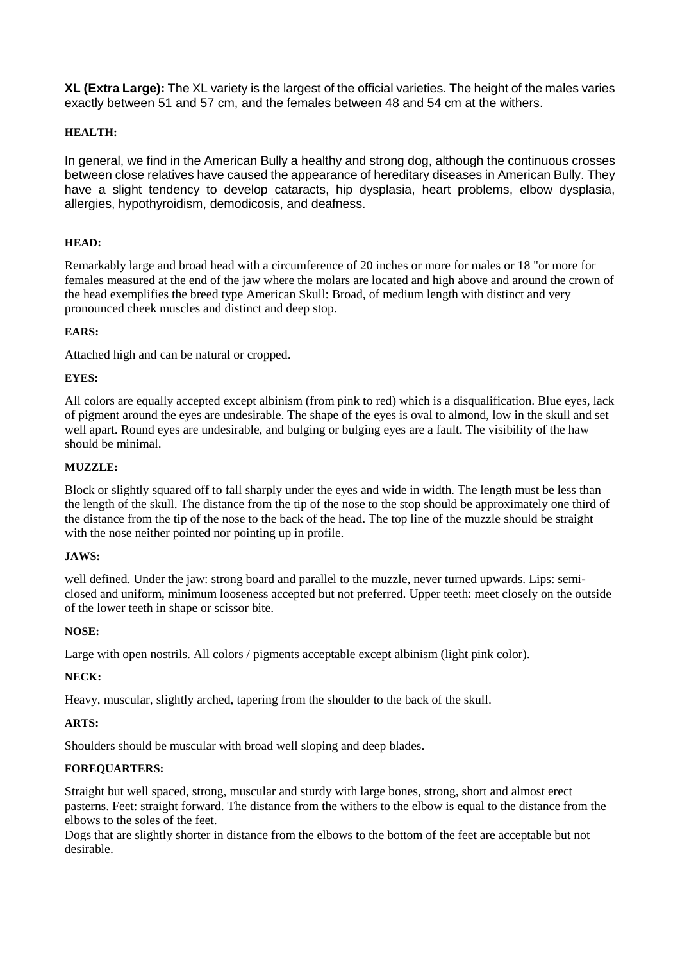**XL (Extra Large):** The XL variety is the largest of the official varieties. The height of the males varies exactly between 51 and 57 cm, and the females between 48 and 54 cm at the withers.

# **HEALTH:**

In general, we find in the American Bully a healthy and strong dog, although the continuous crosses between close relatives have caused the appearance of hereditary diseases in American Bully. They have a slight tendency to develop cataracts, hip dysplasia, heart problems, elbow dysplasia, allergies, hypothyroidism, demodicosis, and deafness.

# **HEAD:**

Remarkably large and broad head with a circumference of 20 inches or more for males or 18 "or more for females measured at the end of the jaw where the molars are located and high above and around the crown of the head exemplifies the breed type American Skull: Broad, of medium length with distinct and very pronounced cheek muscles and distinct and deep stop.

### **EARS:**

Attached high and can be natural or cropped.

# **EYES:**

All colors are equally accepted except albinism (from pink to red) which is a disqualification. Blue eyes, lack of pigment around the eyes are undesirable. The shape of the eyes is oval to almond, low in the skull and set well apart. Round eyes are undesirable, and bulging or bulging eyes are a fault. The visibility of the haw should be minimal.

### **MUZZLE:**

Block or slightly squared off to fall sharply under the eyes and wide in width. The length must be less than the length of the skull. The distance from the tip of the nose to the stop should be approximately one third of the distance from the tip of the nose to the back of the head. The top line of the muzzle should be straight with the nose neither pointed nor pointing up in profile.

### **JAWS:**

well defined. Under the jaw: strong board and parallel to the muzzle, never turned upwards. Lips: semiclosed and uniform, minimum looseness accepted but not preferred. Upper teeth: meet closely on the outside of the lower teeth in shape or scissor bite.

### **NOSE:**

Large with open nostrils. All colors / pigments acceptable except albinism (light pink color).

### **NECK:**

Heavy, muscular, slightly arched, tapering from the shoulder to the back of the skull.

### **ARTS:**

Shoulders should be muscular with broad well sloping and deep blades.

# **FOREQUARTERS:**

Straight but well spaced, strong, muscular and sturdy with large bones, strong, short and almost erect pasterns. Feet: straight forward. The distance from the withers to the elbow is equal to the distance from the elbows to the soles of the feet.

Dogs that are slightly shorter in distance from the elbows to the bottom of the feet are acceptable but not desirable.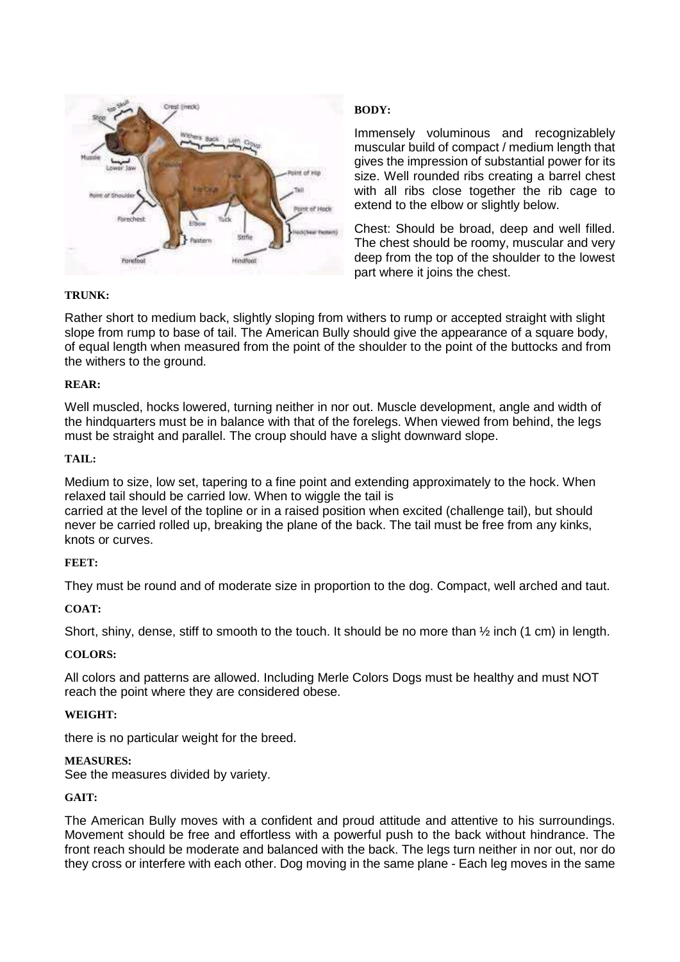

# **BODY:**

Immensely voluminous and recognizablely muscular build of compact / medium length that gives the impression of substantial power for its size. Well rounded ribs creating a barrel chest with all ribs close together the rib cage to extend to the elbow or slightly below.

Chest: Should be broad, deep and well filled. The chest should be roomy, muscular and very deep from the top of the shoulder to the lowest part where it joins the chest.

# **TRUNK:**

Rather short to medium back, slightly sloping from withers to rump or accepted straight with slight slope from rump to base of tail. The American Bully should give the appearance of a square body, of equal length when measured from the point of the shoulder to the point of the buttocks and from the withers to the ground.

### **REAR:**

Well muscled, hocks lowered, turning neither in nor out. Muscle development, angle and width of the hindquarters must be in balance with that of the forelegs. When viewed from behind, the legs must be straight and parallel. The croup should have a slight downward slope.

### **TAIL:**

Medium to size, low set, tapering to a fine point and extending approximately to the hock. When relaxed tail should be carried low. When to wiggle the tail is

carried at the level of the topline or in a raised position when excited (challenge tail), but should never be carried rolled up, breaking the plane of the back. The tail must be free from any kinks, knots or curves.

### **FEET:**

They must be round and of moderate size in proportion to the dog. Compact, well arched and taut.

### **COAT:**

Short, shiny, dense, stiff to smooth to the touch. It should be no more than ½ inch (1 cm) in length.

### **COLORS:**

All colors and patterns are allowed. Including Merle Colors Dogs must be healthy and must NOT reach the point where they are considered obese.

### **WEIGHT:**

there is no particular weight for the breed.

### **MEASURES:**

See the measures divided by variety.

### **GAIT:**

The American Bully moves with a confident and proud attitude and attentive to his surroundings. Movement should be free and effortless with a powerful push to the back without hindrance. The front reach should be moderate and balanced with the back. The legs turn neither in nor out, nor do they cross or interfere with each other. Dog moving in the same plane - Each leg moves in the same